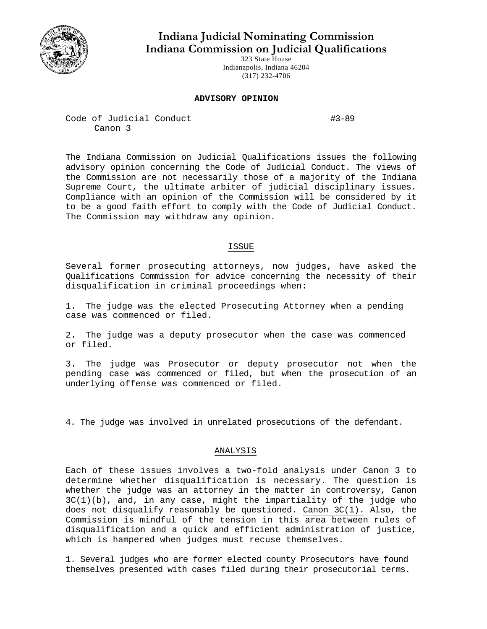

**Indiana Judicial Nominating Commission Indiana Commission on Judicial Qualifications** 

> 323 State House Indianapolis, Indiana 46204 (317) 232-4706

## **ADVISORY OPINION**

Code of Judicial Conduct #3-89 Canon 3

The Indiana Commission on Judicial Qualifications issues the following advisory opinion concerning the Code of Judicial Conduct. The views of the Commission are not necessarily those of a majority of the Indiana Supreme Court, the ultimate arbiter of judicial disciplinary issues. Compliance with an opinion of the Commission will be considered by it to be a good faith effort to comply with the Code of Judicial Conduct. The Commission may withdraw any opinion.

## ISSUE

Several former prosecuting attorneys, now judges, have asked the Qualifications Commission for advice concerning the necessity of their disqualification in criminal proceedings when:

1. The judge was the elected Prosecuting Attorney when a pending case was commenced or filed.

2. The judge was a deputy prosecutor when the case was commenced or filed.

3. The judge was Prosecutor or deputy prosecutor not when the pending case was commenced or filed, but when the prosecution of an underlying offense was commenced or filed.

4. The judge was involved in unrelated prosecutions of the defendant.

## ANALYSIS

Each of these issues involves a two-fold analysis under Canon 3 to determine whether disqualification is necessary. The question is whether the judge was an attorney in the matter in controversy, Canon  $3C(1)(b)$ , and, in any case, might the impartiality of the judge who does not disqualify reasonably be questioned. Canon 3C(1). Also, the Commission is mindful of the tension in this area between rules of disqualification and a quick and efficient administration of justice, which is hampered when judges must recuse themselves.

1. Several judges who are former elected county Prosecutors have found themselves presented with cases filed during their prosecutorial terms.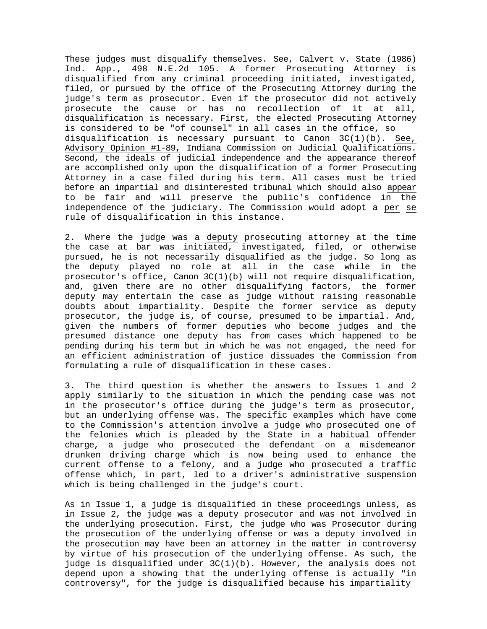These judges must disqualify themselves. See, Calvert v. State (1986) Ind. App., 498 N.E.2d 105. A former Prosecuting Attorney is disqualified from any criminal proceeding initiated, investigated, filed, or pursued by the office of the Prosecuting Attorney during the judge's term as prosecutor. Even if the prosecutor did not actively prosecute the cause or has no recollection of it at all, disqualification is necessary. First, the elected Prosecuting Attorney is considered to be "of counsel" in all cases in the office, so disqualification is necessary pursuant to Canon  $3C(1)(b)$ . See, Advisory Opinion #1-89, Indiana Commission on Judicial Qualifications. Second, the ideals of judicial independence and the appearance thereof are accomplished only upon the disqualification of a former Prosecuting Attorney in a case filed during his term. All cases must be tried before an impartial and disinterested tribunal which should also appear to be fair and will preserve the public's confidence in the independence of the judiciary. The Commission would adopt a per se rule of disqualification in this instance.

2. Where the judge was a deputy prosecuting attorney at the time the case at bar was initiated, investigated, filed, or otherwise pursued, he is not necessarily disqualified as the judge. So long as the deputy played no role at all in the case while in the prosecutor's office, Canon 3C(1)(b) will not require disqualification, and, given there are no other disqualifying factors, the former deputy may entertain the case as judge without raising reasonable doubts about impartiality. Despite the former service as deputy prosecutor, the judge is, of course, presumed to be impartial. And, given the numbers of former deputies who become judges and the presumed distance one deputy has from cases which happened to be pending during his term but in which he was not engaged, the need for an efficient administration of justice dissuades the Commission from formulating a rule of disqualification in these cases.

3. The third question is whether the answers to Issues 1 and 2 apply similarly to the situation in which the pending case was not in the prosecutor's office during the judge's term as prosecutor, but an underlying offense was. The specific examples which have come to the Commission's attention involve a judge who prosecuted one of the felonies which is pleaded by the State in a habitual offender charge, a judge who prosecuted the defendant on a misdemeanor drunken driving charge which is now being used to enhance the current offense to a felony, and a judge who prosecuted a traffic offense which, in part, led to a driver's administrative suspension which is being challenged in the judge's court.

As in Issue 1, a judge is disqualified in these proceedings unless, as in Issue 2, the judge was a deputy prosecutor and was not involved in the underlying prosecution. First, the judge who was Prosecutor during the prosecution of the underlying offense or was a deputy involved in the prosecution may have been an attorney in the matter in controversy by virtue of his prosecution of the underlying offense. As such, the judge is disqualified under  $3C(1)(b)$ . However, the analysis does not depend upon a showing that the underlying offense is actually "in controversy", for the judge is disqualified because his impartiality